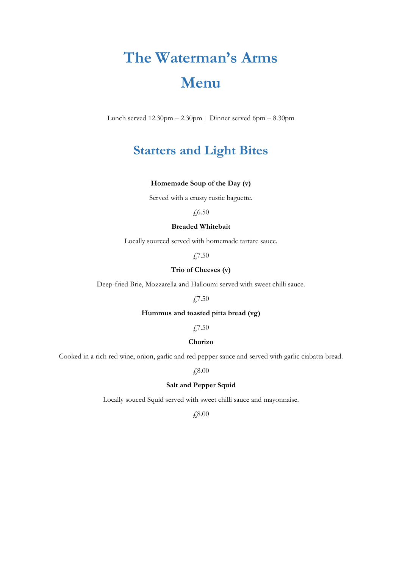# **The Waterman's Arms Menu**

Lunch served 12.30pm – 2.30pm | Dinner served 6pm – 8.30pm

# **Starters and Light Bites**

## **Homemade Soup of the Day (v)**

Served with a crusty rustic baguette.

### $f$ <sub>6.50</sub>

# **Breaded Whitebait**

Locally sourced served with homemade tartare sauce.

£7.50

### **Trio of Cheeses (v)**

Deep-fried Brie, Mozzarella and Halloumi served with sweet chilli sauce.

£7.50

### **Hummus and toasted pitta bread (vg)**

£7.50

### **Chorizo**

Cooked in a rich red wine, onion, garlic and red pepper sauce and served with garlic ciabatta bread.

£8.00

### **Salt and Pepper Squid**

Locally souced Squid served with sweet chilli sauce and mayonnaise.

£8.00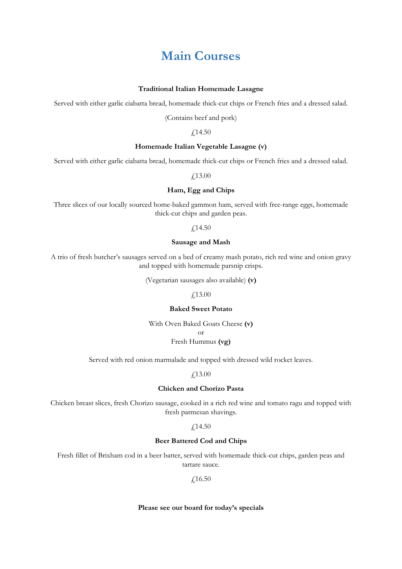# **Main Courses**

#### **Traditional Italian Homemade Lasagne**

Served with either garlic ciabatta bread, homemade thick-cut chips or French fries and a dressed salad.

(Contains beef and pork)

£14.50

#### **Homemade Italian Vegetable Lasagne (v)**

Served with either garlic ciabatta bread, homemade thick-cut chips or French fries and a dressed salad.

£13.00

### **Ham, Egg and Chips**

Three slices of our locally sourced home-baked gammon ham, served with free-range eggs, homemade thick-cut chips and garden peas.

£14.50

#### **Sausage and Mash**

A trio of fresh butcher's sausages served on a bed of creamy mash potato, rich red wine and onion gravy and topped with homemade parsnip crisps.

(Vegetarian sausages also available) **(v)**

£13.00

#### **Baked Sweet Potato**

With Oven Baked Goats Cheese **(v)** or Fresh Hummus **(vg)**

Served with red onion marmalade and topped with dressed wild rocket leaves.

£13.00

#### **Chicken and Chorizo Pasta**

Chicken breast slices, fresh Chorizo sausage, cooked in a rich red wine and tomato ragu and topped with fresh parmesan shavings.

£14.50

#### **Beer Battered Cod and Chips**

Fresh fillet of Brixham cod in a beer batter, served with homemade thick-cut chips, garden peas and tartare sauce.

£16.50

#### **Please see our board for today's specials**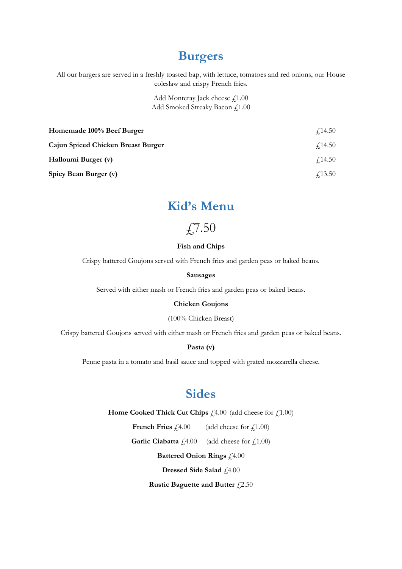# **Burgers**

All our burgers are served in a freshly toasted bap, with lettuce, tomatoes and red onions, our House coleslaw and crispy French fries.

> Add Monteray Jack cheese  $f$ 1.00 Add Smoked Streaky Bacon £1.00

| Homemade 100% Beef Burger          | $\angle$ 14.50 |
|------------------------------------|----------------|
| Cajun Spiced Chicken Breast Burger | $\angle 14.50$ |
| Halloumi Burger (v)                | $\angle 14.50$ |
| Spicy Bean Burger (v)              | <i>√</i> 13.50 |

# **Kid's Menu**

£,7.50

#### **Fish and Chips**

Crispy battered Goujons served with French fries and garden peas or baked beans.

#### **Sausages**

Served with either mash or French fries and garden peas or baked beans.

### **Chicken Goujons**

(100% Chicken Breast)

Crispy battered Goujons served with either mash or French fries and garden peas or baked beans.

# **Pasta (v)**

Penne pasta in a tomato and basil sauce and topped with grated mozzarella cheese.

# **Sides**

**Home Cooked Thick Cut Chips**  $\text{\textsterling}4.00$  (add cheese for  $\text{\textsterling}1.00$ )

**French Fries**  $f(4.00)$  (add cheese for  $f(1.00)$ )

**Garlic Ciabatta**  $f_1(4.00)$  (add cheese for  $f_1(1.00)$ 

**Battered Onion Rings**  $f4.00$ 

**Dressed Side Salad**  $f$ <sub>4.00</sub>

**Rustic Baguette and Butter**  $\hat{f}$ 2.50